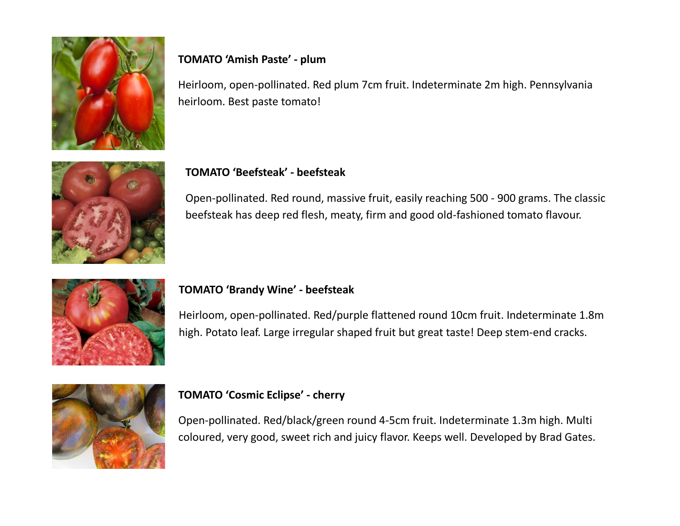

# **TOMATO 'Amish Paste' - plum**

Heirloom, open-pollinated. Red plum 7cm fruit. Indeterminate 2m high. Pennsylvania heirloom. Best paste tomato!



### **TOMATO 'Beefsteak' - beefsteak**

Open-pollinated. Red round, massive fruit, easily reaching 500 - 900 grams. The classic beefsteak has deep red flesh, meaty, firm and good old-fashioned tomato flavour.



#### **TOMATO 'Brandy Wine' - beefsteak**

Heirloom, open-pollinated. Red/purple flattened round 10cm fruit. Indeterminate 1.8m high. Potato leaf. Large irregular shaped fruit but great taste! Deep stem-end cracks.



#### **TOMATO 'Cosmic Eclipse' - cherry**

Open-pollinated. Red/black/green round 4-5cm fruit. Indeterminate 1.3m high. Multi coloured, very good, sweet rich and juicy flavor. Keeps well. Developed by Brad Gates.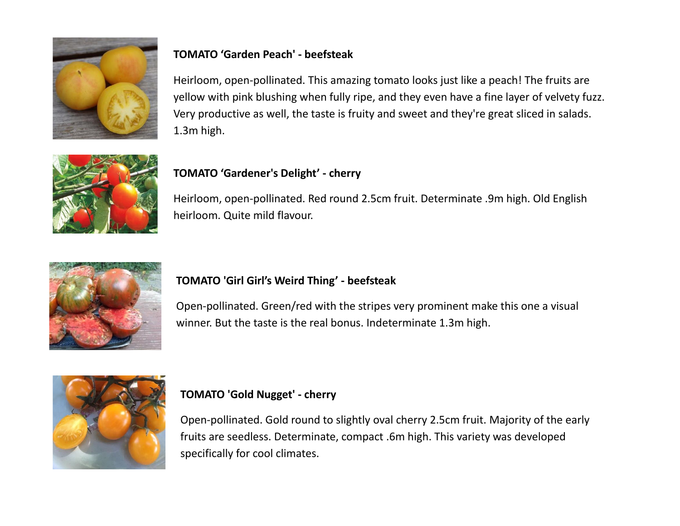

# **TOMATO 'Garden Peach' - beefsteak**

Heirloom, open-pollinated. This amazing tomato looks just like a peach! The fruits are yellow with pink blushing when fully ripe, and they even have a fine layer of velvety fuzz. Very productive as well, the taste is fruity and sweet and they're great sliced in salads. 1.3m high.



# **TOMATO 'Gardener's Delight' - cherry**

Heirloom, open-pollinated. Red round 2.5cm fruit. Determinate .9m high. Old English heirloom. Quite mild flavour.



# **TOMATO 'Girl Girl's Weird Thing' - beefsteak**

Open-pollinated. Green/red with the stripes very prominent make this one a visual winner. But the taste is the real bonus. Indeterminate 1.3m high.



# **TOMATO 'Gold Nugget' - cherry**

Open-pollinated. Gold round to slightly oval cherry 2.5cm fruit. Majority of the early fruits are seedless. Determinate, compact .6m high. This variety was developed specifically for cool climates.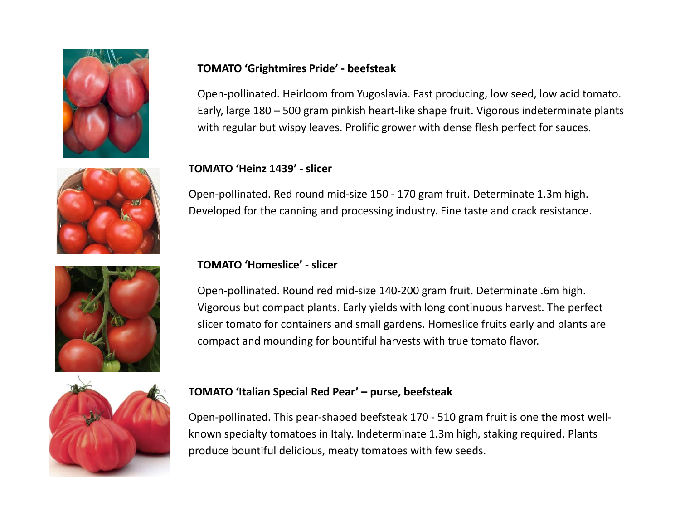





#### **TOMATO 'Grightmires Pride' - beefsteak**

Open-pollinated. Heirloom from Yugoslavia. Fast producing, low seed, low acid tomato. Early, large 180 – 500 gram pinkish heart-like shape fruit. Vigorous indeterminate plants with regular but wispy leaves. Prolific grower with dense flesh perfect for sauces.

#### **TOMATO 'Heinz 1439' - slicer**

Open-pollinated. Red round mid-size 150 - 170 gram fruit. Determinate 1.3m high. Developed for the canning and processing industry. Fine taste and crack resistance.

#### **TOMATO 'Homeslice' - slicer**

Open-pollinated. Round red mid-size 140-200 gram fruit. Determinate .6m high. Vigorous but compact plants. Early yields with long continuous harvest. The perfect slicer tomato for containers and small gardens. Homeslice fruits early and plants are compact and mounding for bountiful harvests with true tomato flavor.



#### **TOMATO 'Italian Special Red Pear' – purse, beefsteak**

Open-pollinated. This pear-shaped beefsteak 170 - 510 gram fruit is one the most wellknown specialty tomatoes in Italy. Indeterminate 1.3m high, staking required. Plants produce bountiful delicious, meaty tomatoes with few seeds.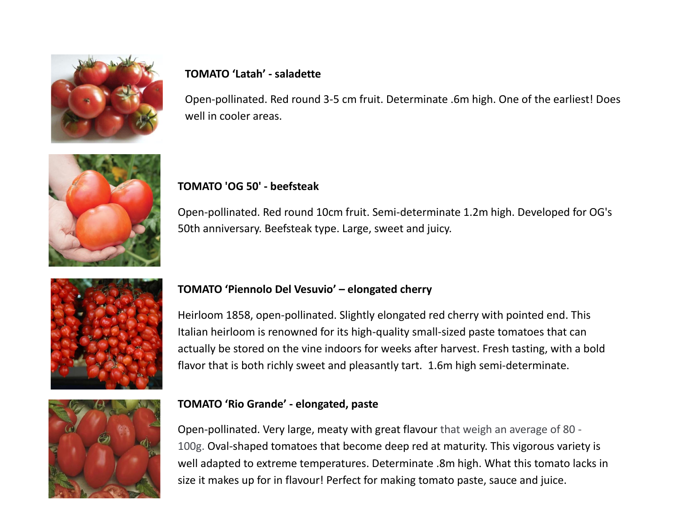

#### **TOMATO 'Latah' - saladette**

Open-pollinated. Red round 3-5 cm fruit. Determinate .6m high. One of the earliest! Does well in cooler areas.



#### **TOMATO 'OG 50' - beefsteak**

Open-pollinated. Red round 10cm fruit. Semi-determinate 1.2m high. Developed for OG's 50th anniversary. Beefsteak type. Large, sweet and juicy.



## **TOMATO 'Piennolo Del Vesuvio' – elongated cherry**

Heirloom 1858, open-pollinated. Slightly elongated red cherry with pointed end. This Italian heirloom is renowned for its high-quality small-sized paste tomatoes that can actually be stored on the vine indoors for weeks after harvest. Fresh tasting, with a bold flavor that is both richly sweet and pleasantly tart. 1.6m high semi-determinate.



## **TOMATO 'Rio Grande' - elongated, paste**

Open-pollinated. Very large, meaty with great flavour that weigh an average of 80 - 100g. Oval-shaped tomatoes that become deep red at maturity. This vigorous variety is well adapted to extreme temperatures. Determinate .8m high. What this tomato lacks in size it makes up for in flavour! Perfect for making tomato paste, sauce and juice.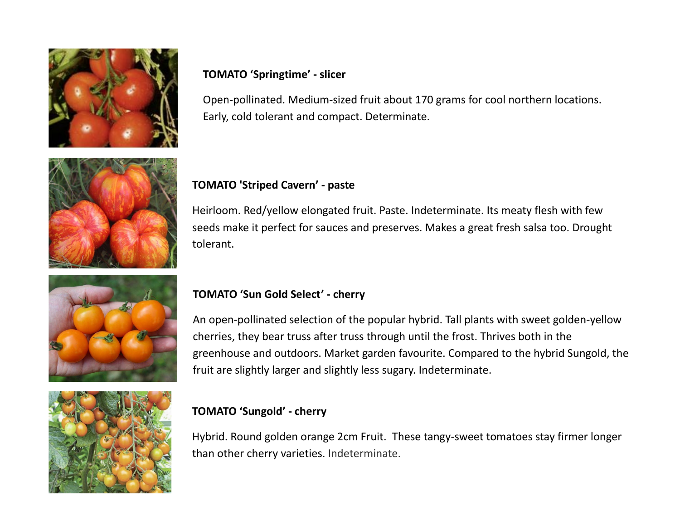

### **TOMATO 'Springtime' - slicer**

Open-pollinated. Medium-sized fruit about 170 grams for cool northern locations. Early, cold tolerant and compact. Determinate.



# **TOMATO 'Striped Cavern' - paste**

Heirloom. Red/yellow elongated fruit. Paste. Indeterminate. Its meaty flesh with few seeds make it perfect for sauces and preserves. Makes a great fresh salsa too. Drought tolerant.

# **TOMATO 'Sun Gold Select' - cherry**

An open-pollinated selection of the popular hybrid. Tall plants with sweet golden-yellow cherries, they bear truss after truss through until the frost. Thrives both in the greenhouse and outdoors. Market garden favourite. Compared to the hybrid Sungold, the fruit are slightly larger and slightly less sugary. Indeterminate.



## **TOMATO 'Sungold' - cherry**

Hybrid. Round golden orange 2cm Fruit. These tangy-sweet tomatoes stay firmer longer than other cherry varieties. Indeterminate.